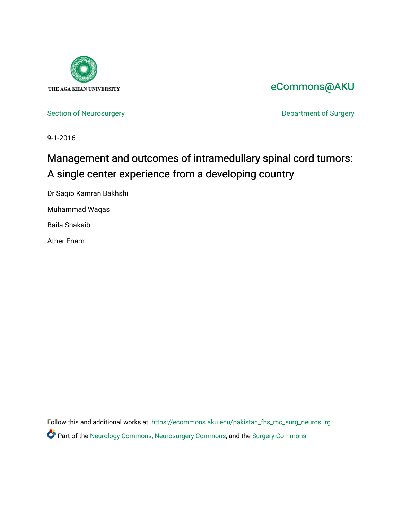

## [eCommons@AKU](https://ecommons.aku.edu/)

[Section of Neurosurgery](https://ecommons.aku.edu/pakistan_fhs_mc_surg_neurosurg) **Department of Surgery** Department of Surgery

9-1-2016

# Management and outcomes of intramedullary spinal cord tumors: A single center experience from a developing country

Dr Saqib Kamran Bakhshi Muhammad Waqas

Baila Shakaib

Ather Enam

Follow this and additional works at: [https://ecommons.aku.edu/pakistan\\_fhs\\_mc\\_surg\\_neurosurg](https://ecommons.aku.edu/pakistan_fhs_mc_surg_neurosurg?utm_source=ecommons.aku.edu%2Fpakistan_fhs_mc_surg_neurosurg%2F215&utm_medium=PDF&utm_campaign=PDFCoverPages)  Part of the [Neurology Commons](http://network.bepress.com/hgg/discipline/692?utm_source=ecommons.aku.edu%2Fpakistan_fhs_mc_surg_neurosurg%2F215&utm_medium=PDF&utm_campaign=PDFCoverPages), [Neurosurgery Commons](http://network.bepress.com/hgg/discipline/1428?utm_source=ecommons.aku.edu%2Fpakistan_fhs_mc_surg_neurosurg%2F215&utm_medium=PDF&utm_campaign=PDFCoverPages), and the [Surgery Commons](http://network.bepress.com/hgg/discipline/706?utm_source=ecommons.aku.edu%2Fpakistan_fhs_mc_surg_neurosurg%2F215&utm_medium=PDF&utm_campaign=PDFCoverPages)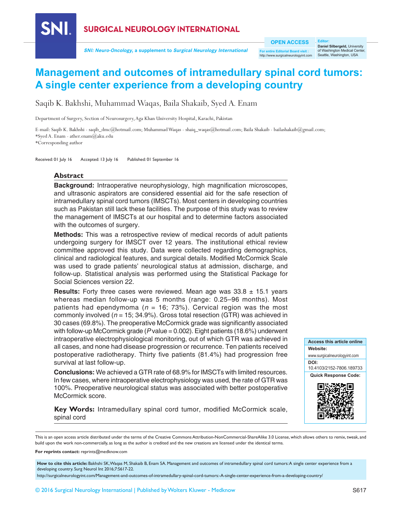

**SNI: Neuro-Oncology, a supplement to Surgical Neurology International**

**OPEN ACCESS**

**For entire Editorial Board visit :** w.surgicalneurologyint.com

**Editor:**<br>**Daniel Silbergeld,** University<br>of Washington Medical Center, Seattle, Washington, USA

## **Management and outcomes of intramedullary spinal cord tumors: A single center experience from a developing country**

Saqib K. Bakhshi, Muhammad Waqas, Baila Shakaib, Syed A. Enam

Department of Surgery, Section of Neurosurgery, Aga Khan University Hospital, Karachi, Pakistan

E‑mail: Saqib K. Bakhshi ‑ saqib\_dmc@hotmail.com; Muhammad Waqas ‑ shaiq\_waqas@hotmail.com; Baila Shakaib ‑ bailashakaib@gmail.com; \*Syed A. Enam ‑ ather.enam@aku.edu

\*Corresponding author

Received: 01 July 16 Accepted: 13 July 16 Published: 01 September 16

### **Abstract**

**Background:** Intraoperative neurophysiology, high magnification microscopes, and ultrasonic aspirators are considered essential aid for the safe resection of intramedullary spinal cord tumors (IMSCTs). Most centers in developing countries such as Pakistan still lack these facilities. The purpose of this study was to review the management of IMSCTs at our hospital and to determine factors associated with the outcomes of surgery.

**Methods:** This was a retrospective review of medical records of adult patients undergoing surgery for IMSCT over 12 years. The institutional ethical review committee approved this study. Data were collected regarding demographics, clinical and radiological features, and surgical details. Modified McCormick Scale was used to grade patients' neurological status at admission, discharge, and follow‑up. Statistical analysis was performed using the Statistical Package for Social Sciences version 22.

**Results:** Forty three cases were reviewed. Mean age was 33.8 ± 15.1 years whereas median follow-up was 5 months (range: 0.25–96 months). Most patients had ependymoma ( $n = 16$ ; 73%). Cervical region was the most commonly involved (*n* = 15; 34.9%). Gross total resection (GTR) was achieved in 30 cases (69.8%). The preoperative McCormick grade was significantly associated with follow‑up McCormick grade (*P* value = 0.002). Eight patients (18.6%) underwent intraoperative electrophysiological monitoring, out of which GTR was achieved in all cases, and none had disease progression or recurrence. Ten patients received postoperative radiotherapy. Thirty five patients (81.4%) had progression free survival at last follow-up.

**Conclusions:** We achieved a GTR rate of 68.9% for IMSCTs with limited resources. In few cases, where intraoperative electrophysiology was used, the rate of GTR was 100%. Preoperative neurological status was associated with better postoperative McCormick score.

**Key Words:** Intramedullary spinal cord tumor, modified McCormick scale, spinal cord

**Access this article online Website:** www.surgicalneurologyint.com **DOI:**  10.4103/2152-7806.189733 **Quick Response Code:**



This is an open access article distributed under the terms of the Creative Commons Attribution-NonCommercial-ShareAlike 3.0 License, which allows others to remix, tweak, and build upon the work non-commercially, as long as the author is credited and the new creations are licensed under the identical terms.

**For reprints contact:** reprints@medknow.com

How to cite this article: Bakhshi SK, Waqas M, Shakaib B, Enam SA. Management and outcomes of intramedullary spinal cord tumors: A single center experience from a developing country. Surg Neurol Int 2016;7:S617-22.

http://surgicalneurologyint.com/Management-and-outcomes-of-intramedullary-spinal-cord-tumors:-A-single-center-experience-from-a-developing-country/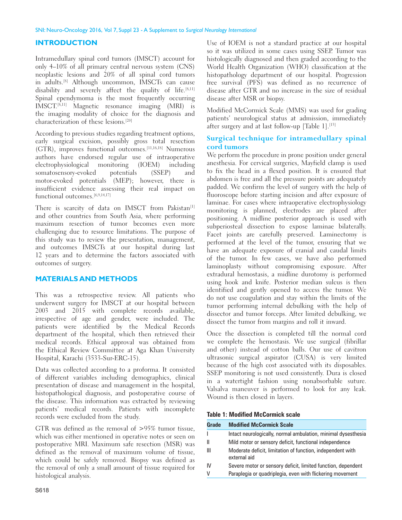## **INTRODUCTION**

Intramedullary spinal cord tumors (IMSCT) account for only 4–10% of all primary central nervous system (CNS) neoplastic lesions and 20% of all spinal cord tumors in adults.[8] Although uncommon, IMSCTs can cause disability and severely affect the quality of life.<sup>[8,11]</sup> Spinal ependymoma is the most frequently occurring IMSCT.[8,11] Magnetic resonance imaging (MRI) is the imaging modality of choice for the diagnosis and characterization of these lesions.[20]

According to previous studies regarding treatment options, early surgical excision, possibly gross total resection (GTR), improves functional outcomes.[11,16,18] Numerous authors have endorsed regular use of intraoperative electrophysiological monitoring (IOEM) including somatosensory-evoked potentials (SSEP) and motor‑evoked potentials (MEP); however, there is insufficient evidence assessing their real impact on functional outcomes.<sup>[6,9,14,17]</sup>

There is scarcity of data on IMSCT from Pakistan<sup>[1]</sup> and other countries from South Asia, where performing maximum resection of tumor becomes even more challenging due to resource limitations. The purpose of this study was to review the presentation, management, and outcomes IMSCTs at our hospital during last 12 years and to determine the factors associated with outcomes of surgery.

## **MATERIALS AND METHODS**

This was a retrospective review. All patients who underwent surgery for IMSCT at our hospital between 2003 and 2015 with complete records available, irrespective of age and gender, were included. The patients were identified by the Medical Records department of the hospital, which then retrieved their medical records. Ethical approval was obtained from the Ethical Review Committee at Aga Khan University Hospital, Karachi (3533-Sur-ERC-15).

Data was collected according to a proforma. It consisted of different variables including demographics, clinical presentation of disease and management in the hospital, histopathological diagnosis, and postoperative course of the disease. This information was extracted by reviewing patients' medical records. Patients with incomplete records were excluded from the study.

GTR was defined as the removal of >95% tumor tissue, which was either mentioned in operative notes or seen on postoperative MRI. Maximum safe resection (MSR) was defined as the removal of maximum volume of tissue, which could be safely removed. Biopsy was defined as the removal of only a small amount of tissue required for histological analysis.

Use of IOEM is not a standard practice at our hospital so it was utilized in some cases using SSEP. Tumor was histologically diagnosed and then graded according to the World Health Organization (WHO) classification at the histopathology department of our hospital. Progression free survival (PFS) was defined as no recurrence of disease after GTR and no increase in the size of residual disease after MSR or biopsy.

Modified McCormick Scale (MMS) was used for grading patients' neurological status at admission, immediately after surgery and at last follow-up [Table 1].<sup>[13]</sup>

## **Surgical technique for intramedullary spinal cord tumors**

We perform the procedure in prone position under general anesthesia. For cervical surgeries, Mayfield clamp is used to fix the head in a flexed position. It is ensured that abdomen is free and all the pressure points are adequately padded. We confirm the level of surgery with the help of fluoroscope before starting incision and after exposure of laminae. For cases where intraoperative electrophysiology monitoring is planned, electrodes are placed after positioning. A midline posterior approach is used with subperiosteal dissection to expose laminae bilaterally. Facet joints are carefully preserved. Laminectomy is performed at the level of the tumor, ensuring that we have an adequate exposure of cranial and caudal limits of the tumor. In few cases, we have also performed laminoplasty without compromising exposure. After extradural hemostasis, a midline durotomy is performed using hook and knife. Posterior median sulcus is then identified and gently opened to access the tumor. We do not use coagulation and stay within the limits of the tumor performing internal debulking with the help of dissector and tumor forceps. After limited debulking, we dissect the tumor from margins and roll it inward.

Once the dissection is completed till the normal cord we complete the hemostasis. We use surgical (fibrillar and other) instead of cotton balls. Our use of cavitron ultrasonic surgical aspirator (CUSA) is very limited because of the high cost associated with its disposables. SSEP monitoring is not used consistently. Dura is closed in a watertight fashion using nonabsorbable suture. Valsalva maneuver is performed to look for any leak. Wound is then closed in layers.

**Table 1: Modified McCormick scale**

| Grade | <b>Modified McCormick Scale</b>                                            |
|-------|----------------------------------------------------------------------------|
|       | Intact neurologically, normal ambulation, minimal dysesthesia              |
| Ш     | Mild motor or sensory deficit, functional independence                     |
| Ш     | Moderate deficit, limitation of function, independent with<br>external aid |
| IV    | Severe motor or sensory deficit, limited function, dependent               |
|       | Paraplegia or quadriplegia, even with flickering movement                  |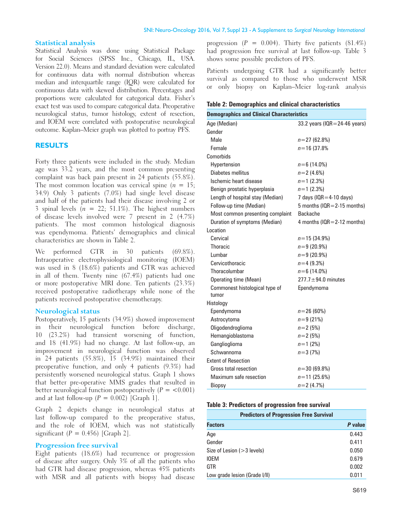#### **Statistical analysis**

Statistical Analysis was done using Statistical Package for Social Sciences (SPSS Inc., Chicago, IL, USA. Version 22.0). Means and standard deviation were calculated for continuous data with normal distribution whereas median and interquartile range (IQR) were calculated for continuous data with skewed distribution. Percentages and proportions were calculated for categorical data. Fisher's exact test was used to compare categorical data. Preoperative neurological status, tumor histology, extent of resection, and IOEM were correlated with postoperative neurological outcome. Kaplan–Meier graph was plotted to portray PFS.

#### **RESULTS**

Forty three patients were included in the study. Median age was 33.2 years, and the most common presenting complaint was back pain present in 24 patients (55.8%). The most common location was cervical spine  $(n = 15)$ ; 34.9) Only 3 patients (7.0%) had single level disease and half of the patients had their disease involving 2 or 3 spinal levels  $(n = 22; 51.1\%)$ . The highest numbers of disease levels involved were 7 present in 2 (4.7%) patients. The most common histological diagnosis was ependymoma. Patients' demographics and clinical characteristics are shown in Table 2.

We performed GTR in 30 patients (69.8%). Intraoperative electrophysiological monitoring (IOEM) was used in 8 (18.6%) patients and GTR was achieved in all of them. Twenty nine (67.4%) patients had one or more postoperative MRI done. Ten patients (23.3%) received postoperative radiotherapy while none of the patients received postoperative chemotherapy.

#### **Neurological status**

Postoperatively, 15 patients (34.9%) showed improvement their neurological function before discharge, 10 (23.2%) had transient worsening of function, and 18 (41.9%) had no change. At last follow‑up, an improvement in neurological function was observed in 24 patients (55.8%), 15 (34.9%) maintained their preoperative function, and only 4 patients (9.3%) had persistently worsened neurological status. Graph 1 shows that better pre‑operative MMS grades that resulted in better neurological function postoperatively  $(P = < 0.001)$ and at last follow-up  $(P = 0.002)$  [Graph 1].

Graph 2 depicts change in neurological status at last follow‑up compared to the preoperative status, and the role of IOEM, which was not statistically significant ( $P = 0.456$ ) [Graph 2].

#### **Progression free survival**

Eight patients (18.6%) had recurrence or progression of disease after surgery. Only 3% of all the patients who had GTR had disease progression, whereas 45% patients with MSR and all patients with biopsy had disease progression  $(P = 0.004)$ . Thirty five patients  $(81.4\%)$ had progression free survival at last follow-up. Table 3 shows some possible predictors of PFS.

Patients undergoing GTR had a significantly better survival as compared to those who underwent MSR or only biopsy on Kaplan–Meier log-rank analysis

#### **Table 2: Demographics and clinical characteristics**

| <b>Demographics and Clinical Characteristics</b> |                                   |  |  |
|--------------------------------------------------|-----------------------------------|--|--|
| Age (Median)                                     | 33.2 years ( $IQR = 24-46$ years) |  |  |
| Gender                                           |                                   |  |  |
| Male                                             | $n = 27(62.8%)$                   |  |  |
| Female                                           | $n = 16(37.8%$                    |  |  |
| Comorbids                                        |                                   |  |  |
| Hypertension                                     | $n = 6(14.0\%)$                   |  |  |
| Diabetes mellitus                                | $n=2(4.6%)$                       |  |  |
| Ischemic heart disease                           | $n=1$ (2.3%)                      |  |  |
| Benign prostatic hyperplasia                     | $n=1$ (2.3%)                      |  |  |
| Length of hospital stay (Median)                 | 7 days ( $IQR = 4-10$ days)       |  |  |
| Follow-up time (Median)                          | 5 months ( $IQR = 2-15$ months)   |  |  |
| Most common presenting complaint                 | <b>Backache</b>                   |  |  |
| Duration of symptoms (Median)                    | 4 months ( $IQR = 2-12$ months)   |  |  |
| Location                                         |                                   |  |  |
| Cervical                                         | $n = 15(34.9\%)$                  |  |  |
| Thoracic                                         | $n=9(20.9\%)$                     |  |  |
| Lumbar                                           | $n=9(20.9\%)$                     |  |  |
| Cervicothoracic                                  | $n=4(9.3%)$                       |  |  |
| Thoracolumbar                                    | $n = 6(14.0\%)$                   |  |  |
| Operating time (Mean)                            | $277.7 \pm 94.0$ minutes          |  |  |
| Commonest histological type of                   | Ependymoma                        |  |  |
| tumor                                            |                                   |  |  |
| Histology                                        |                                   |  |  |
| Ependymoma                                       | $n = 26(60\%)$                    |  |  |
| Astrocytoma                                      | $n = 9(21\%)$                     |  |  |
| Oligodendroglioma                                | $n = 2(5%)$                       |  |  |
| Hemangioblastoma                                 | $n = 2(5%)$                       |  |  |
| Ganglioglioma                                    | $n = 1$ (2%)                      |  |  |
| Schwannoma                                       | $n = 3(7%)$                       |  |  |
| <b>Extent of Resection</b>                       |                                   |  |  |
| Gross total resection                            | $n = 30(69.8%)$                   |  |  |
| Maximum safe resection                           | $n = 11(25.6%)$                   |  |  |
| Biopsy                                           | $n=2(4.7%)$                       |  |  |

#### **Table 3: Predictors of progression free survival**

| <b>Predictors of Progression Free Survival</b> |         |  |  |
|------------------------------------------------|---------|--|--|
| <b>Factors</b>                                 | P value |  |  |
| Age                                            | 0.443   |  |  |
| Gender                                         | 0.411   |  |  |
| Size of Lesion ( $>$ 3 levels)                 | 0.050   |  |  |
| IOEM                                           | 0.679   |  |  |
| GTR                                            | 0.002   |  |  |
| Low grade lesion (Grade I/II)                  | 0.011   |  |  |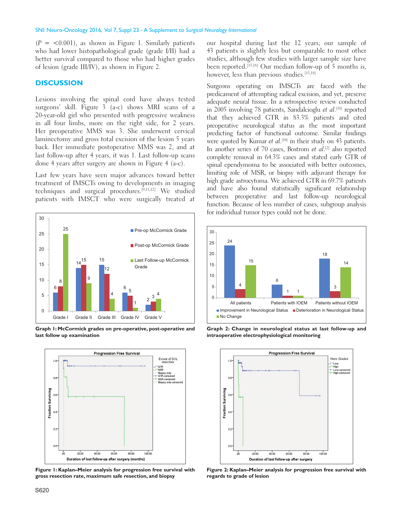#### SNI: Neuro-Oncology 2016, Vol 7, Suppl 23 - A Supplement to *Surgical Neurology International*

 $(P = < 0.001)$ , as shown in Figure 1. Similarly patients who had lower histopathological grade (grade I/II) had a better survival compared to those who had higher grades of lesion (grade III/IV), as shown in Figure 2.

### **DISCUSSION**

Lesions involving the spinal cord have always tested surgeons' skill. Figure 3 (a-c) shows MRI scans of a 20‑year‑old girl who presented with progressive weakness in all four limbs, more on the right side, for 2 years. Her preoperative MMS was 3. She underwent cervical laminectomy and gross total excision of the lesion 5 years back. Her immediate postoperative MMS was 2, and at last follow-up after 4 years, it was 1. Last follow-up scans done 4 years after surgery are shown in Figure 4 (a‑c).

Last few years have seen major advances toward better treatment of IMSCTs owing to developments in imaging techniques and surgical procedures.[9,11,12] We studied patients with IMSCT who were surgically treated at



**Graph 1: McCormick grades on pre-operative, post-operative and last follow up examination**



**Figure 1: Kaplan–Meier analysis for progression free survival with gross resection rate, maximum safe resection, and biopsy**

our hospital during last the 12 years; our sample of 43 patients is slightly less but comparable to most other studies, although few studies with larger sample size have been reported.<sup>[15,18]</sup> Our median follow-up of 5 months is, however, less than previous studies.<sup>[15,18]</sup>

Surgeons operating on IMSCTs are faced with the predicament of attempting radical excision, and yet, preserve adequate neural tissue. In a retrospective review conducted in 2005 involving 78 patients, Sandalcioglu *et al*.<sup>[18]</sup> reported that they achieved GTR in 83.3% patients and cited preoperative neurological status as the most important predicting factor of functional outcome. Similar findings were quoted by Kumar *et al*.<sup>[10]</sup> in their study on 43 patients. In another series of 70 cases, Bostrom *et al*.<sup>[2]</sup> also reported complete removal in 64.3% cases and stated early GTR of spinal ependymoma to be associated with better outcomes, limiting role of MSR, or biopsy with adjuvant therapy for high grade astrocytoma. We achieved GTR in 69.7% patients and have also found statistically significant relationship between preoperative and last follow-up neurological function. Because of less number of cases, subgroup analysis for individual tumor types could not be done.



**Graph 2: Change in neurological status at last follow-up and intraoperative electrophysiological monitoring**



**Figure 2: Kaplan–Meier analysis for progression free survival with regards to grade of lesion**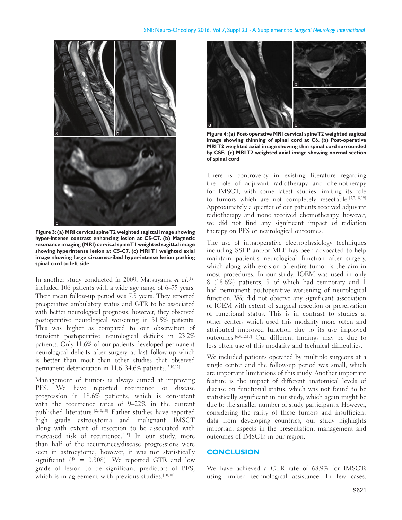

**Figure 3:(a) MRI cervical spine T2 weighted sagittal image showing hyper-intense contrast enhancing lesion at C5-C7. (b) Magnetic resonance imaging (MRI) cervical spine T1 weighted sagittal image showing hyperintense lesion at C5-C7. (c) MRI T1 weighted axial image showing large circumscribed hyper-intense lesion pushing spinal cord to left side**

In another study conducted in 2009, Matsuyama et al.<sup>[12]</sup> included 106 patients with a wide age range of 6–75 years. Their mean follow-up period was 7.3 years. They reported preoperative ambulatory status and GTR to be associated with better neurological prognosis; however, they observed postoperative neurological worsening in 31.5% patients. This was higher as compared to our observation of transient postoperative neurological deficits in 23.2% patients. Only 11.6% of our patients developed permanent neurological deficits after surgery at last follow‑up which is better than most than other studies that observed permanent deterioration in 11.6–34.6% patients.[2,10,12]

Management of tumors is always aimed at improving PFS. We have reported recurrence or disease progression in 18.6% patients, which is consistent with the recurrence rates of 9–22% in the current published literature.[2,10,18] Earlier studies have reported high grade astrocytoma and malignant IMSCT along with extent of resection to be associated with increased risk of recurrence.<sup>[4,5]</sup> In our study, more than half of the recurrences/disease progressions were seen in astrocytoma, however, it was not statistically significant ( $P = 0.308$ ). We reported GTR and low grade of lesion to be significant predictors of PFS, which is in agreement with previous studies.<sup>[10,18]</sup>



**Figure 4:(a) Post-operative MRI cervical spine T2 weighted sagittal image showing thinning of spinal cord at C6. (b) Post-operative MRI T2 weighted axial image showing thin spinal cord surrounded by CSF. (c) MRI T2 weighted axial image showing normal section of spinal cord**

There is controversy in existing literature regarding the role of adjuvant radiotherapy and chemotherapy for IMSCT, with some latest studies limiting its role to tumors which are not completely resectable.[3,7,18,19] Approximately a quarter of our patients received adjuvant radiotherapy and none received chemotherapy, however, we did not find any significant impact of radiation therapy on PFS or neurological outcomes.

The use of intraoperative electrophysiology techniques including SSEP and/or MEP has been advocated to help maintain patient's neurological function after surgery, which along with excision of entire tumor is the aim in most procedures. In our study, IOEM was used in only 8 (18.6%) patients, 3 of which had temporary and 1 had permanent postoperative worsening of neurological function. We did not observe any significant association of IOEM with extent of surgical resection or preservation of functional status. This is in contrast to studies at other centers which used this modality more often and attributed improved function due to its use improved outcomes.[6,9,12,17] Our different findings may be due to less often use of this modality and technical difficulties.

We included patients operated by multiple surgeons at a single center and the follow-up period was small, which are important limitations of this study. Another important feature is the impact of different anatomical levels of disease on functional status, which was not found to be statistically significant in our study, which again might be due to the smaller number of study participants. However, considering the rarity of these tumors and insufficient data from developing countries, our study highlights important aspects in the presentation, management and outcomes of IMSCTs in our region.

#### **CONCLUSION**

We have achieved a GTR rate of 68.9% for IMSCTs using limited technological assistance. In few cases,